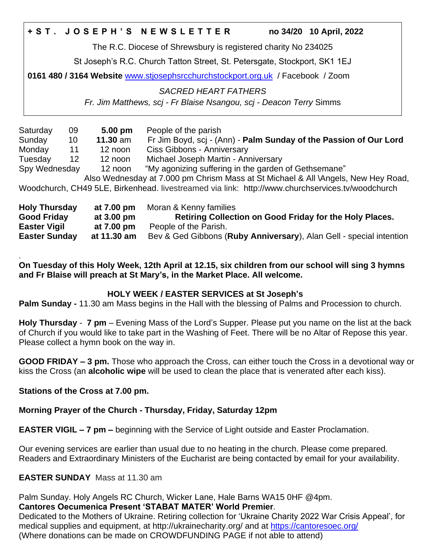### **+ S T . J O S E P H ' S N E W S L E T T E R no 34/20 10 April, 2022**

The R.C. Diocese of Shrewsbury is registered charity No 234025

St Joseph's R.C. Church Tatton Street, St. Petersgate, Stockport, SK1 1EJ

**0161 480 / 3164 Website** [www.stjosephsrcchurchstockport.org.uk](http://www.stjosephsrcchurchstockport.org.uk/) / Facebook / Zoom

*SACRED HEART FATHERS*

*Fr. Jim Matthews, scj - Fr Blaise Nsangou, scj - Deacon Terry* Simms

| Saturday                 | 09 | 5.00 pm    | People of the parish                                                                             |
|--------------------------|----|------------|--------------------------------------------------------------------------------------------------|
| Sunday                   | 10 | $11.30$ am | Fr Jim Boyd, scj - (Ann) - Palm Sunday of the Passion of Our Lord                                |
| Monday                   | 11 | 12 noon    | Ciss Gibbons - Anniversary                                                                       |
| Tuesday                  | 12 | 12 noon    | Michael Joseph Martin - Anniversary                                                              |
| Spy Wednesday<br>12 noon |    |            | "My agonizing suffering in the garden of Gethsemane"                                             |
|                          |    |            | Also Wednesday at 7.000 pm Chrism Mass at St Michael & All \Angels, New Hey Road,                |
|                          |    |            | Woodchurch, CH49 5LE, Birkenhead. livestreamed via link: http://www.churchservices.tv/woodchurch |
| <b>Holy Thursday</b>     |    | at 7.00 pm | Moran & Kenny families                                                                           |
| <b>Good Friday</b>       |    | at 3.00 pm | Retiring Collection on Good Friday for the Holy Places.                                          |
| <b>Easter Vigil</b>      |    | at 7.00 pm | People of the Parish.                                                                            |

**Easter Sunday at 11.30 am** Bev & Ged Gibbons (**Ruby Anniversary**), Alan Gell - special intention

. **On Tuesday of this Holy Week, 12th April at 12.15, six children from our school will sing 3 hymns and Fr Blaise will preach at St Mary's, in the Market Place. All welcome.**

### **HOLY WEEK / EASTER SERVICES at St Joseph's**

**Palm Sunday -** 11.30 am Mass begins in the Hall with the blessing of Palms and Procession to church.

**Holy Thursday** - **7 pm** – Evening Mass of the Lord's Supper. Please put you name on the list at the back of Church if you would like to take part in the Washing of Feet. There will be no Altar of Repose this year. Please collect a hymn book on the way in.

**GOOD FRIDAY – 3 pm.** Those who approach the Cross, can either touch the Cross in a devotional way or kiss the Cross (an **alcoholic wipe** will be used to clean the place that is venerated after each kiss).

### **Stations of the Cross at 7.00 pm.**

## **Morning Prayer of the Church - Thursday, Friday, Saturday 12pm**

**EASTER VIGIL – 7 pm –** beginning with the Service of Light outside and Easter Proclamation.

Our evening services are earlier than usual due to no heating in the church. Please come prepared. Readers and Extraordinary Ministers of the Eucharist are being contacted by email for your availability.

# **EASTER SUNDAY** Mass at 11.30 am

Palm Sunday. Holy Angels RC Church, Wicker Lane, Hale Barns WA15 0HF @4pm.

## **Cantores Oecumenica Present 'STABAT MATER' World Premier**.

Dedicated to the Mothers of Ukraine. Retiring collection for 'Ukraine Charity 2022 War Crisis Appeal', for medical supplies and equipment, at http://ukrainecharity.org/ and at<https://cantoresoec.org/> (Where donations can be made on CROWDFUNDING PAGE if not able to attend)